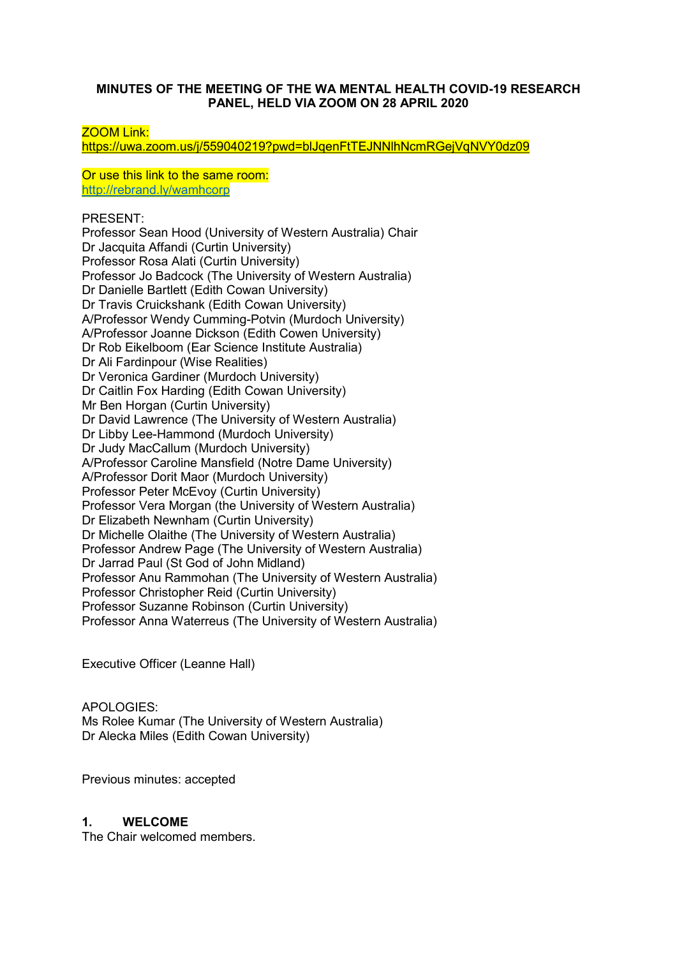#### **MINUTES OF THE MEETING OF THE WA MENTAL HEALTH COVID-19 RESEARCH PANEL, HELD VIA ZOOM ON 28 APRIL 2020**

ZOOM Link:

<https://uwa.zoom.us/j/559040219?pwd=blJqenFtTEJNNlhNcmRGejVqNVY0dz09>

Or use this link to the same room: <http://rebrand.ly/wamhcorp>

PRESENT:

Professor Sean Hood (University of Western Australia) Chair Dr Jacquita Affandi (Curtin University) Professor Rosa Alati (Curtin University) Professor Jo Badcock (The University of Western Australia) Dr Danielle Bartlett (Edith Cowan University) Dr Travis Cruickshank (Edith Cowan University) A/Professor Wendy Cumming-Potvin (Murdoch University) A/Professor Joanne Dickson (Edith Cowen University) Dr Rob Eikelboom (Ear Science Institute Australia) Dr Ali Fardinpour (Wise Realities) Dr Veronica Gardiner (Murdoch University) Dr Caitlin Fox Harding (Edith Cowan University) Mr Ben Horgan (Curtin University) Dr David Lawrence (The University of Western Australia) Dr Libby Lee-Hammond (Murdoch University) Dr Judy MacCallum (Murdoch University) A/Professor Caroline Mansfield (Notre Dame University) A/Professor Dorit Maor (Murdoch University) Professor Peter McEvoy (Curtin University) Professor Vera Morgan (the University of Western Australia) Dr Elizabeth Newnham (Curtin University) Dr Michelle Olaithe (The University of Western Australia) Professor Andrew Page (The University of Western Australia) Dr Jarrad Paul (St God of John Midland) Professor Anu Rammohan (The University of Western Australia) Professor Christopher Reid (Curtin University) Professor Suzanne Robinson (Curtin University) Professor Anna Waterreus (The University of Western Australia)

Executive Officer (Leanne Hall)

APOLOGIES: Ms Rolee Kumar (The University of Western Australia) Dr Alecka Miles (Edith Cowan University)

Previous minutes: accepted

### **1. WELCOME**

The Chair welcomed members.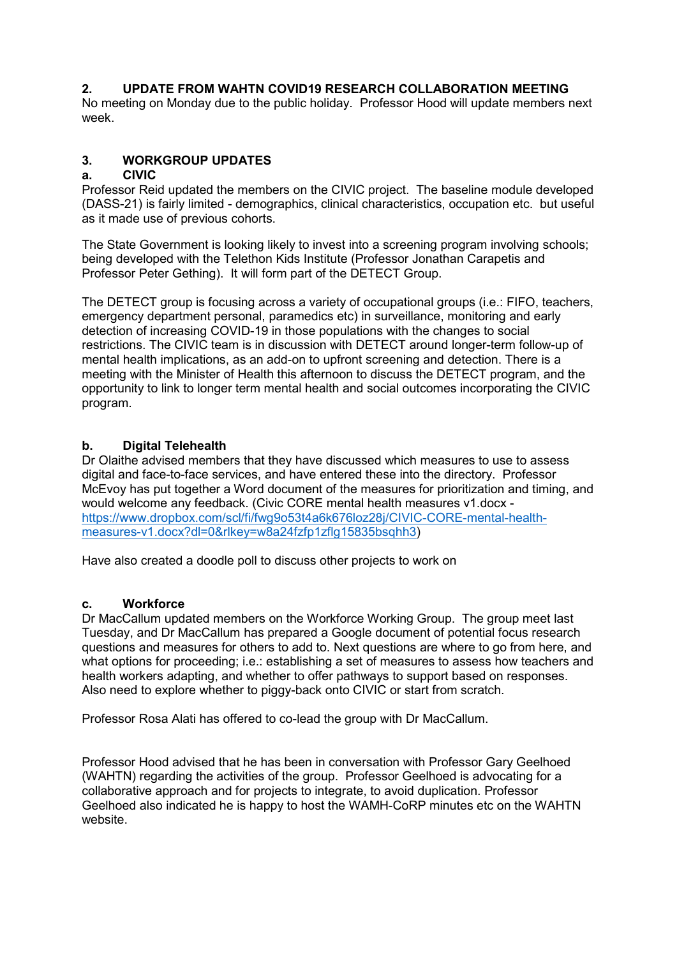# **2. UPDATE FROM WAHTN COVID19 RESEARCH COLLABORATION MEETING**

No meeting on Monday due to the public holiday. Professor Hood will update members next week.

# **3. WORKGROUP UPDATES**

#### **a. CIVIC**

Professor Reid updated the members on the CIVIC project. The baseline module developed (DASS-21) is fairly limited - demographics, clinical characteristics, occupation etc. but useful as it made use of previous cohorts.

The State Government is looking likely to invest into a screening program involving schools; being developed with the Telethon Kids Institute (Professor Jonathan Carapetis and Professor Peter Gething). It will form part of the DETECT Group.

The DETECT group is focusing across a variety of occupational groups (i.e.: FIFO, teachers, emergency department personal, paramedics etc) in surveillance, monitoring and early detection of increasing COVID-19 in those populations with the changes to social restrictions. The CIVIC team is in discussion with DETECT around longer-term follow-up of mental health implications, as an add-on to upfront screening and detection. There is a meeting with the Minister of Health this afternoon to discuss the DETECT program, and the opportunity to link to longer term mental health and social outcomes incorporating the CIVIC program.

### **b. Digital Telehealth**

Dr Olaithe advised members that they have discussed which measures to use to assess digital and face-to-face services, and have entered these into the directory. Professor McEvoy has put together a Word document of the measures for prioritization and timing, and would welcome any feedback. (Civic CORE mental health measures v1.docx [https://www.dropbox.com/scl/fi/fwg9o53t4a6k676loz28j/CIVIC-CORE-mental-health](https://www.dropbox.com/scl/fi/fwg9o53t4a6k676loz28j/CIVIC-CORE-mental-health-measures-v1.docx?dl=0&rlkey=w8a24fzfp1zflg15835bsqhh3)[measures-v1.docx?dl=0&rlkey=w8a24fzfp1zflg15835bsqhh3\)](https://www.dropbox.com/scl/fi/fwg9o53t4a6k676loz28j/CIVIC-CORE-mental-health-measures-v1.docx?dl=0&rlkey=w8a24fzfp1zflg15835bsqhh3)

Have also created a doodle poll to discuss other projects to work on

### **c. Workforce**

Dr MacCallum updated members on the Workforce Working Group. The group meet last Tuesday, and Dr MacCallum has prepared a Google document of potential focus research questions and measures for others to add to. Next questions are where to go from here, and what options for proceeding; i.e.: establishing a set of measures to assess how teachers and health workers adapting, and whether to offer pathways to support based on responses. Also need to explore whether to piggy-back onto CIVIC or start from scratch.

Professor Rosa Alati has offered to co-lead the group with Dr MacCallum.

Professor Hood advised that he has been in conversation with Professor Gary Geelhoed (WAHTN) regarding the activities of the group. Professor Geelhoed is advocating for a collaborative approach and for projects to integrate, to avoid duplication. Professor Geelhoed also indicated he is happy to host the WAMH-CoRP minutes etc on the WAHTN website.